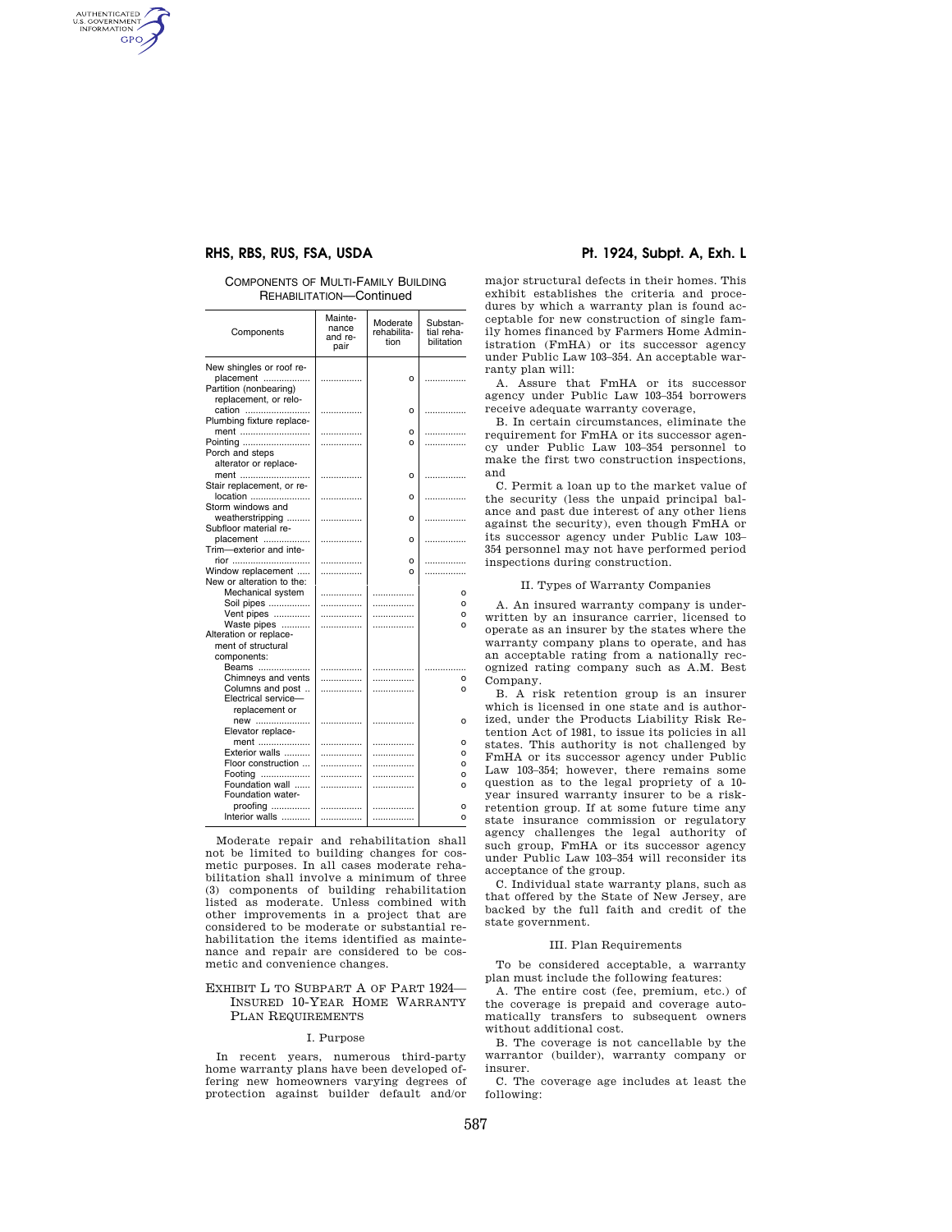# **RHS, RBS, RUS, FSA, USDA Pt. 1924, Subpt. A, Exh. L**

AUTHENTICATED<br>U.S. GOVERNMENT<br>INFORMATION GPO

# COMPONENTS OF MULTI-FAMILY BUILDING REHABILITATION—Continued

| Components                                      | Mainte-<br>nance<br>and re-<br>pair | Moderate<br>rehabilita-<br>tion | Substan-<br>tial reha-<br>bilitation |
|-------------------------------------------------|-------------------------------------|---------------------------------|--------------------------------------|
| New shingles or roof re-                        |                                     |                                 |                                      |
| placement                                       |                                     | о                               | .                                    |
| Partition (nonbearing)                          |                                     |                                 |                                      |
| replacement, or relo-                           |                                     |                                 |                                      |
|                                                 |                                     |                                 |                                      |
| cation<br>Plumbing fixture replace-             | .                                   | $\circ$                         | .                                    |
| ment                                            |                                     |                                 |                                      |
| Pointing                                        |                                     | о<br>O                          | .                                    |
| Porch and steps                                 | .                                   |                                 | .                                    |
| alterator or replace-                           |                                     |                                 |                                      |
|                                                 |                                     |                                 |                                      |
| ment                                            | .                                   | $\circ$                         |                                      |
| Stair replacement, or re-                       |                                     |                                 |                                      |
| location<br>Storm windows and                   |                                     | $\Omega$                        | .                                    |
|                                                 |                                     |                                 |                                      |
| weatherstripping                                |                                     | $\circ$                         | .                                    |
| Subfloor material re-                           |                                     |                                 |                                      |
| placement                                       |                                     | o                               | .                                    |
| Trim-exterior and inte-                         |                                     |                                 |                                      |
| rior                                            | .                                   | $\circ$<br>$\Omega$             |                                      |
| Window replacement<br>New or alteration to the: | .                                   |                                 | .                                    |
| Mechanical system                               |                                     |                                 |                                      |
| Soil pipes                                      | .                                   | .                               | o<br>o                               |
|                                                 | .                                   | .                               |                                      |
| Vent pipes                                      | .                                   | .                               | o                                    |
| Waste pipes<br>Alteration or replace-           | .                                   | .                               | $\Omega$                             |
| ment of structural                              |                                     |                                 |                                      |
|                                                 |                                     |                                 |                                      |
| components:                                     |                                     |                                 |                                      |
| Beams<br>Chimneys and vents                     | .                                   |                                 |                                      |
| Columns and post                                |                                     | .                               | o<br>$\Omega$                        |
| Electrical service-                             | .                                   | .                               |                                      |
| replacement or                                  |                                     |                                 |                                      |
| new                                             |                                     |                                 |                                      |
| Elevator replace-                               |                                     |                                 | o                                    |
| ment                                            |                                     |                                 |                                      |
| Exterior walls                                  | .                                   | .                               | O<br>$\Omega$                        |
| Floor construction                              | .<br>.                              | .                               | $\Omega$                             |
| Footing                                         | .                                   | .<br>.                          | $\Omega$                             |
| Foundation wall                                 | .                                   | .                               | O                                    |
| Foundation water-                               |                                     |                                 |                                      |
| proofing                                        |                                     |                                 | o                                    |
| Interior walls                                  | .                                   | .                               | $\Omega$                             |
|                                                 |                                     |                                 |                                      |

Moderate repair and rehabilitation shall not be limited to building changes for cosmetic purposes. In all cases moderate rehabilitation shall involve a minimum of three (3) components of building rehabilitation listed as moderate. Unless combined with other improvements in a project that are considered to be moderate or substantial rehabilitation the items identified as maintenance and repair are considered to be cosmetic and convenience changes.

# EXHIBIT L TO SUBPART A OF PART 1924— INSURED 10-YEAR HOME WARRANTY PLAN REQUIREMENTS

### I. Purpose

In recent years, numerous third-party home warranty plans have been developed offering new homeowners varying degrees of protection against builder default and/or

major structural defects in their homes. This exhibit establishes the criteria and procedures by which a warranty plan is found acceptable for new construction of single family homes financed by Farmers Home Administration (FmHA) or its successor agency under Public Law 103–354. An acceptable warranty plan will:

A. Assure that FmHA or its successor agency under Public Law 103–354 borrowers receive adequate warranty coverage,

B. In certain circumstances, eliminate the requirement for FmHA or its successor agency under Public Law 103–354 personnel to make the first two construction inspections, and

C. Permit a loan up to the market value of the security (less the unpaid principal balance and past due interest of any other liens against the security), even though FmHA or its successor agency under Public Law 103– 354 personnel may not have performed period inspections during construction.

### II. Types of Warranty Companies

A. An insured warranty company is underwritten by an insurance carrier, licensed to operate as an insurer by the states where the warranty company plans to operate, and has an acceptable rating from a nationally recognized rating company such as A.M. Best Company.

B. A risk retention group is an insurer which is licensed in one state and is authorized, under the Products Liability Risk Retention Act of 1981, to issue its policies in all states. This authority is not challenged by FmHA or its successor agency under Public Law 103–354; however, there remains some question as to the legal propriety of a 10 year insured warranty insurer to be a riskretention group. If at some future time any state insurance commission or regulatory agency challenges the legal authority of such group, FmHA or its successor agency under Public Law 103–354 will reconsider its acceptance of the group.

C. Individual state warranty plans, such as that offered by the State of New Jersey, are backed by the full faith and credit of the state government.

#### III. Plan Requirements

To be considered acceptable, a warranty plan must include the following features:

A. The entire cost (fee, premium, etc.) of the coverage is prepaid and coverage automatically transfers to subsequent owners without additional cost.

B. The coverage is not cancellable by the warrantor (builder), warranty company or insurer.

C. The coverage age includes at least the following: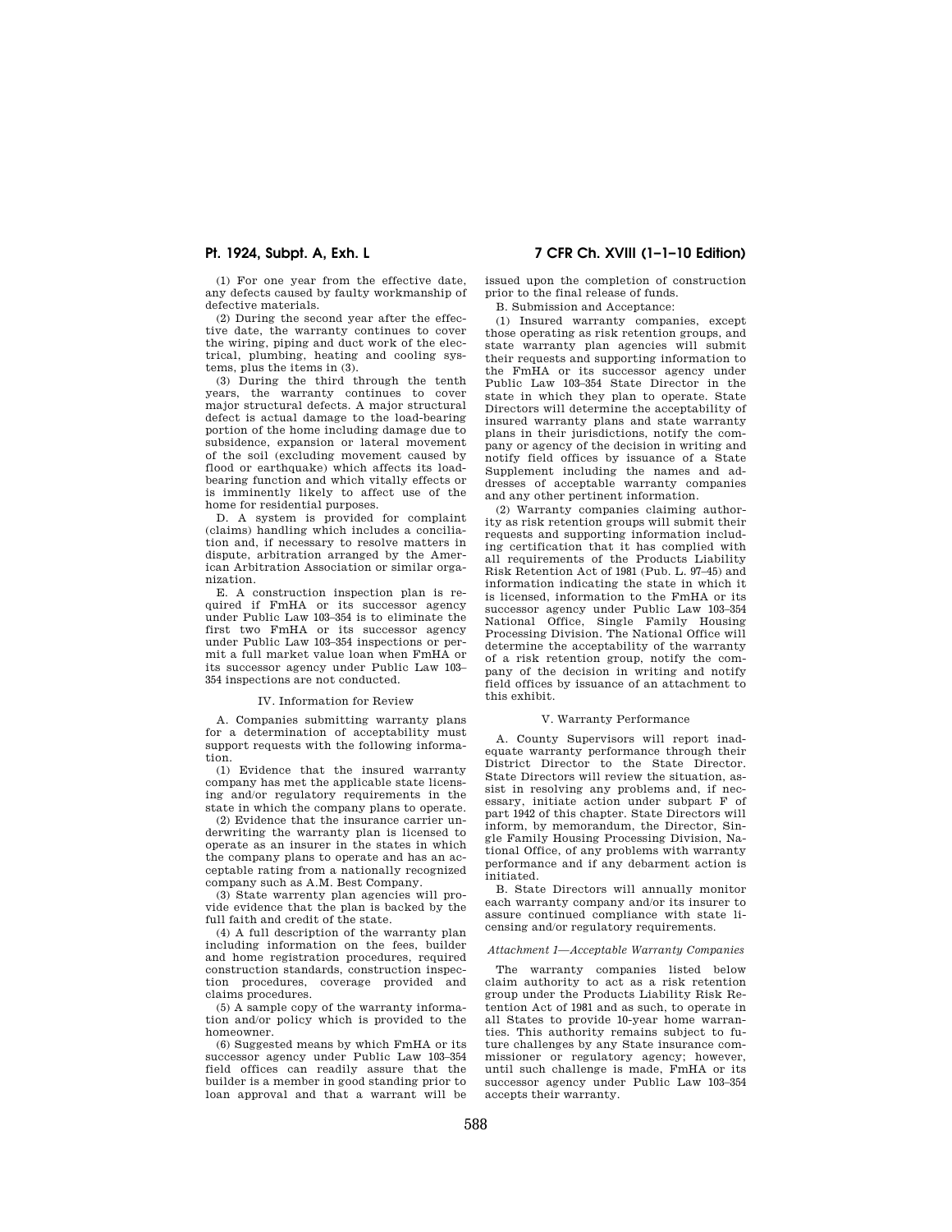**Pt. 1924, Subpt. A, Exh. L 7 CFR Ch. XVIII (1–1–10 Edition)** 

(1) For one year from the effective date, any defects caused by faulty workmanship of defective materials.

(2) During the second year after the effective date, the warranty continues to cover the wiring, piping and duct work of the electrical, plumbing, heating and cooling systems, plus the items in (3).

(3) During the third through the tenth years, the warranty continues to cover major structural defects. A major structural defect is actual damage to the load-bearing portion of the home including damage due to subsidence, expansion or lateral movement of the soil (excluding movement caused by flood or earthquake) which affects its loadbearing function and which vitally effects or is imminently likely to affect use of the home for residential purposes.

D. A system is provided for complaint (claims) handling which includes a conciliation and, if necessary to resolve matters in dispute, arbitration arranged by the American Arbitration Association or similar organization.

E. A construction inspection plan is required if FmHA or its successor agency under Public Law 103–354 is to eliminate the first two FmHA or its successor agency under Public Law 103–354 inspections or permit a full market value loan when FmHA or its successor agency under Public Law 103– 354 inspections are not conducted.

## IV. Information for Review

A. Companies submitting warranty plans for a determination of acceptability must support requests with the following information.

(1) Evidence that the insured warranty company has met the applicable state licensing and/or regulatory requirements in the state in which the company plans to operate.

(2) Evidence that the insurance carrier underwriting the warranty plan is licensed to operate as an insurer in the states in which the company plans to operate and has an acceptable rating from a nationally recognized company such as A.M. Best Company.

(3) State warrenty plan agencies will provide evidence that the plan is backed by the full faith and credit of the state.

(4) A full description of the warranty plan including information on the fees, builder and home registration procedures, required construction standards, construction inspection procedures, coverage provided and claims procedures.

(5) A sample copy of the warranty information and/or policy which is provided to the homeowner.

(6) Suggested means by which FmHA or its successor agency under Public Law 103–354 field offices can readily assure that the builder is a member in good standing prior to loan approval and that a warrant will be issued upon the completion of construction prior to the final release of funds.

B. Submission and Acceptance:

(1) Insured warranty companies, except those operating as risk retention groups, and state warranty plan agencies will submit their requests and supporting information to the FmHA or its successor agency under Public Law 103–354 State Director in the state in which they plan to operate. State Directors will determine the acceptability of insured warranty plans and state warranty plans in their jurisdictions, notify the company or agency of the decision in writing and notify field offices by issuance of a State Supplement including the names and addresses of acceptable warranty companies and any other pertinent information.

(2) Warranty companies claiming authority as risk retention groups will submit their requests and supporting information including certification that it has complied with all requirements of the Products Liability Risk Retention Act of 1981 (Pub. L. 97–45) and information indicating the state in which it is licensed, information to the FmHA or its successor agency under Public Law 103–354 National Office, Single Family Housing Processing Division. The National Office will determine the acceptability of the warranty of a risk retention group, notify the company of the decision in writing and notify field offices by issuance of an attachment to this exhibit.

## V. Warranty Performance

A. County Supervisors will report inadequate warranty performance through their District Director to the State Director. State Directors will review the situation, assist in resolving any problems and, if necessary, initiate action under subpart F of part 1942 of this chapter. State Directors will inform, by memorandum, the Director, Single Family Housing Processing Division, National Office, of any problems with warranty performance and if any debarment action is initiated.

B. State Directors will annually monitor each warranty company and/or its insurer to assure continued compliance with state licensing and/or regulatory requirements.

#### *Attachment 1—Acceptable Warranty Companies*

The warranty companies listed below claim authority to act as a risk retention group under the Products Liability Risk Retention Act of 1981 and as such, to operate in all States to provide 10-year home warranties. This authority remains subject to future challenges by any State insurance commissioner or regulatory agency; however, until such challenge is made, FmHA or its successor agency under Public Law 103–354 accepts their warranty.